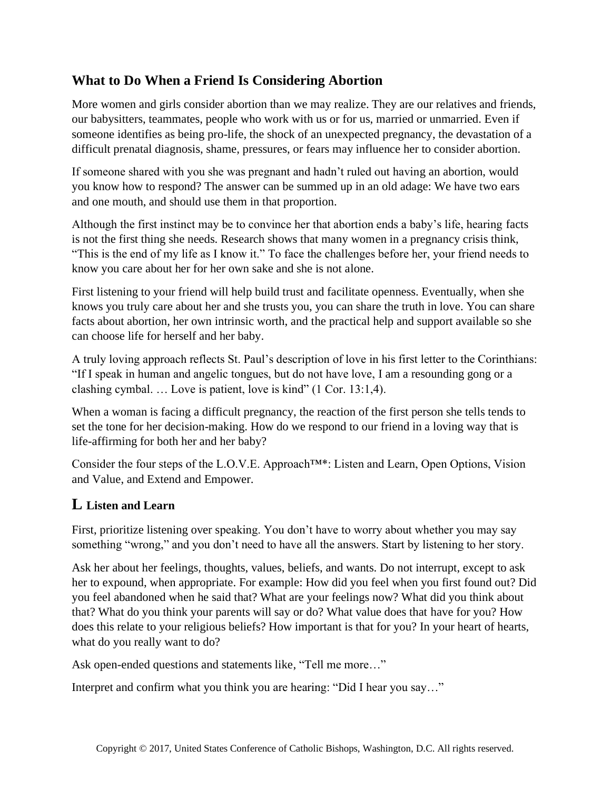## **What to Do When a Friend Is Considering Abortion**

More women and girls consider abortion than we may realize. They are our relatives and friends, our babysitters, teammates, people who work with us or for us, married or unmarried. Even if someone identifies as being pro-life, the shock of an unexpected pregnancy, the devastation of a difficult prenatal diagnosis, shame, pressures, or fears may influence her to consider abortion.

If someone shared with you she was pregnant and hadn't ruled out having an abortion, would you know how to respond? The answer can be summed up in an old adage: We have two ears and one mouth, and should use them in that proportion.

Although the first instinct may be to convince her that abortion ends a baby's life, hearing facts is not the first thing she needs. Research shows that many women in a pregnancy crisis think, "This is the end of my life as I know it." To face the challenges before her, your friend needs to know you care about her for her own sake and she is not alone.

First listening to your friend will help build trust and facilitate openness. Eventually, when she knows you truly care about her and she trusts you, you can share the truth in love. You can share facts about abortion, her own intrinsic worth, and the practical help and support available so she can choose life for herself and her baby.

A truly loving approach reflects St. Paul's description of love in his first letter to the Corinthians: "If I speak in human and angelic tongues, but do not have love, I am a resounding gong or a clashing cymbal. … Love is patient, love is kind" (1 Cor. 13:1,4).

When a woman is facing a difficult pregnancy, the reaction of the first person she tells tends to set the tone for her decision-making. How do we respond to our friend in a loving way that is life-affirming for both her and her baby?

Consider the four steps of the L.O.V.E. Approach™\*: Listen and Learn, Open Options, Vision and Value, and Extend and Empower.

### **L Listen and Learn**

First, prioritize listening over speaking. You don't have to worry about whether you may say something "wrong," and you don't need to have all the answers. Start by listening to her story.

Ask her about her feelings, thoughts, values, beliefs, and wants. Do not interrupt, except to ask her to expound, when appropriate. For example: How did you feel when you first found out? Did you feel abandoned when he said that? What are your feelings now? What did you think about that? What do you think your parents will say or do? What value does that have for you? How does this relate to your religious beliefs? How important is that for you? In your heart of hearts, what do you really want to do?

Ask open-ended questions and statements like, "Tell me more…"

Interpret and confirm what you think you are hearing: "Did I hear you say…"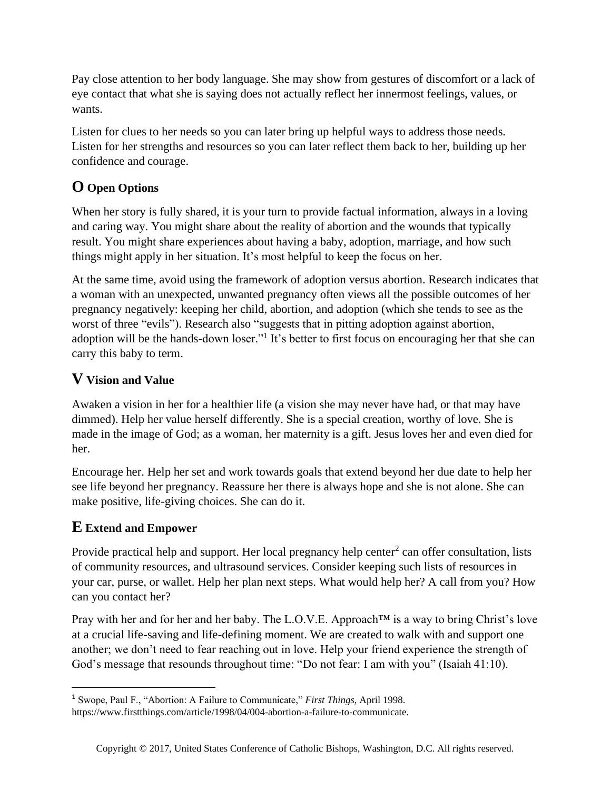Pay close attention to her body language. She may show from gestures of discomfort or a lack of eye contact that what she is saying does not actually reflect her innermost feelings, values, or wants.

Listen for clues to her needs so you can later bring up helpful ways to address those needs. Listen for her strengths and resources so you can later reflect them back to her, building up her confidence and courage.

# **O Open Options**

When her story is fully shared, it is your turn to provide factual information, always in a loving and caring way. You might share about the reality of abortion and the wounds that typically result. You might share experiences about having a baby, adoption, marriage, and how such things might apply in her situation. It's most helpful to keep the focus on her.

At the same time, avoid using the framework of adoption versus abortion. Research indicates that a woman with an unexpected, unwanted pregnancy often views all the possible outcomes of her pregnancy negatively: keeping her child, abortion, and adoption (which she tends to see as the worst of three "evils"). Research also "suggests that in pitting adoption against abortion, adoption will be the hands-down loser."<sup>1</sup> It's better to first focus on encouraging her that she can carry this baby to term.

## **V Vision and Value**

Awaken a vision in her for a healthier life (a vision she may never have had, or that may have dimmed). Help her value herself differently. She is a special creation, worthy of love. She is made in the image of God; as a woman, her maternity is a gift. Jesus loves her and even died for her.

Encourage her. Help her set and work towards goals that extend beyond her due date to help her see life beyond her pregnancy. Reassure her there is always hope and she is not alone. She can make positive, life-giving choices. She can do it.

### **E Extend and Empower**

Provide practical help and support. Her local pregnancy help center<sup>2</sup> can offer consultation, lists of community resources, and ultrasound services. Consider keeping such lists of resources in your car, purse, or wallet. Help her plan next steps. What would help her? A call from you? How can you contact her?

Pray with her and for her and her baby. The L.O.V.E. Approach<sup>™</sup> is a way to bring Christ's love at a crucial life-saving and life-defining moment. We are created to walk with and support one another; we don't need to fear reaching out in love. Help your friend experience the strength of God's message that resounds throughout time: "Do not fear: I am with you" (Isaiah 41:10).

<sup>1</sup> Swope, Paul F., "Abortion: A Failure to Communicate," *First Things*, April 1998.

https://www.firstthings.com/article/1998/04/004-abortion-a-failure-to-communicate.